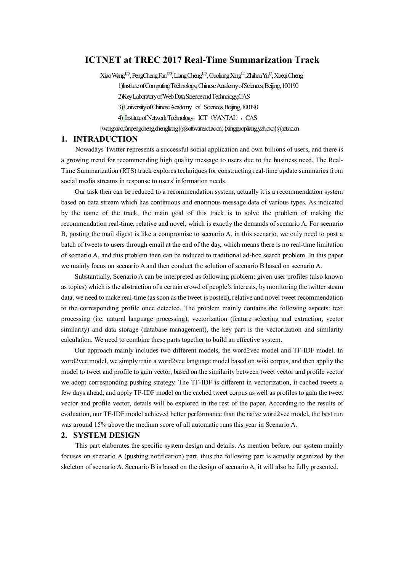# **ICTNET at TREC 2017 Real-Time Summarization Track**

Xiao Wang<sup>1,23</sup>, PengCheng Fan<sup>1,23</sup>, Liang Cheng<sup>1,23</sup>, Guoliang Xing<sup>1,2</sup>, Zhihua Yu<sup>1,2</sup>, Xueqi Cheng<sup>4</sup> 1)Institute of Computing Technology, Chinese Academy of Sciences, Beijing, 100190 2)Key Laboratory of Web Data Science and Technology,CAS 3)University of Chinese Academy of Sciences, Beijing, 100190 4) Institute of Network Technology, ICT (YANTAI), CAS

{wangxiao,fanpengcheng,chengliang}@software.ict.ac.cn;{xingguopliang,yzh,cxq}@ict.ac.cn

### **1. INTRADUCTION**

 Nowadays Twitter represents a successful social application and own billions of users, and there is a growing trend for recommending high quality message to users due to the business need. The Real-Time Summarization (RTS) track explores techniques for constructing real-time update summaries from social media streams in response to users' information needs.

 Our task then can be reduced to a recommendation system, actually it is a recommendation system based on data stream which has continuous and enormous message data of various types. As indicated by the name of the track, the main goal of this track is to solve the problem of making the recommendation real-time, relative and novel, which is exactly the demands of scenario A. For scenario B, posting the mail digest is like a compromise to scenario A, in this scenario, we only need to post a batch of tweets to users through email at the end of the day, which means there is no real-time limitation of scenario A, and this problem then can be reduced to traditional ad-hoc search problem. In this paper we mainly focus on scenario A and then conduct the solution of scenario B based on scenario A.

 Substantially, Scenario A can be interpreted as following problem: given user profiles (also known as topics) which is the abstraction of a certain crowd of people's interests, by monitoring the twitter steam data, we need to make real-time (as soon as the tweet is posted), relative and novel tweet recommendation to the corresponding profile once detected. The problem mainly contains the following aspects: text processing (i.e. natural language processing), vectorization (feature selecting and extraction, vector similarity) and data storage (database management), the key part is the vectorization and similarity calculation. We need to combine these parts together to build an effective system.

 Our approach mainly includes two different models, the word2vec model and TF-IDF model. In word2vec model, we simply train a word2vec language model based on wiki corpus, and then appliy the model to tweet and profile to gain vector, based on the similarity between tweet vector and profile vector we adopt corresponding pushing strategy. The TF-IDF is different in vectorization, it cached tweets a few days ahead, and apply TF-IDF model on the cached tweet corpus as well as profiles to gain the tweet vector and profile vector, details will be explored in the rest of the paper. According to the results of evaluation, our TF-IDF model achieved better performance than the naïve word2vec model, the best run was around 15% above the medium score of all automatic runs this year in Scenario A.

#### **2. SYSTEM DESIGN**

 This part elaborates the specific system design and details. As mention before, our system mainly focuses on scenario A (pushing notification) part, thus the following part is actually organized by the skeleton of scenario A. Scenario B is based on the design of scenario A, it will also be fully presented.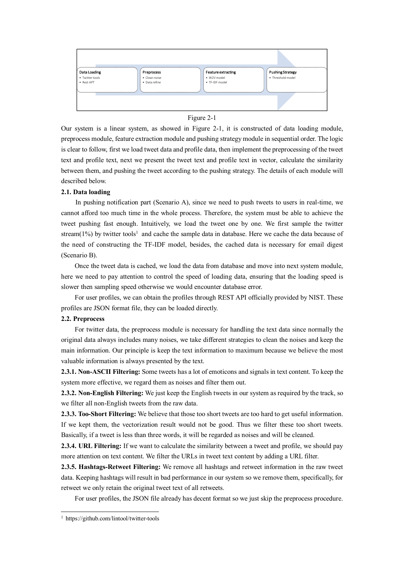



Our system is a linear system, as showed in Figure 2-1, it is constructed of data loading module, preprocess module, feature extraction module and pushing strategy module in sequential order. The logic is clear to follow, first we load tweet data and profile data, then implement the preprocessing of the tweet text and profile text, next we present the tweet text and profile text in vector, calculate the similarity between them, and pushing the tweet according to the pushing strategy. The details of each module will described below.

### **2.1. Data loading**

 In pushing notification part (Scenario A), since we need to push tweets to users in real-time, we cannot afford too much time in the whole process. Therefore, the system must be able to achieve the tweet pushing fast enough. Intuitively, we load the tweet one by one. We first sample the twitter stream( $1\%$ ) by twitter tools<sup>1</sup> and cache the sample data in database. Here we cache the data because of the need of constructing the TF-IDF model, besides, the cached data is necessary for email digest (Scenario B).

 Once the tweet data is cached, we load the data from database and move into next system module, here we need to pay attention to control the speed of loading data, ensuring that the loading speed is slower then sampling speed otherwise we would encounter database error.

 For user profiles, we can obtain the profiles through REST API officially provided by NIST. These profiles are JSON format file, they can be loaded directly.

#### **2.2. Preprocess**

 For twitter data, the preprocess module is necessary for handling the text data since normally the original data always includes many noises, we take different strategies to clean the noises and keep the main information. Our principle is keep the text information to maximum because we believe the most valuable information is always presented by the text.

**2.3.1. Non-ASCII Filtering:** Some tweets has a lot of emoticons and signals in text content. To keep the system more effective, we regard them as noises and filter them out.

**2.3.2. Non-English Filtering:** We just keep the English tweets in our system as required by the track, so we filter all non-English tweets from the raw data.

**2.3.3. Too-Short Filtering:** We believe that those too short tweets are too hard to get useful information. If we kept them, the vectorization result would not be good. Thus we filter these too short tweets. Basically, if a tweet is less than three words, it will be regarded as noises and will be cleaned.

**2.3.4. URL Filtering:** If we want to calculate the similarity between a tweet and profile, we should pay more attention on text content. We filter the URLs in tweet text content by adding a URL filter.

**2.3.5. Hashtags-Retweet Filtering:** We remove all hashtags and retweet information in the raw tweet data. Keeping hashtags will result in bad performance in our system so we remove them, specifically, for retweet we only retain the original tweet text of all retweets.

For user profiles, the JSON file already has decent format so we just skip the preprocess procedure.

 $\ddot{ }$ 

<sup>&</sup>lt;sup>1</sup> https://github.com/lintool/twitter-tools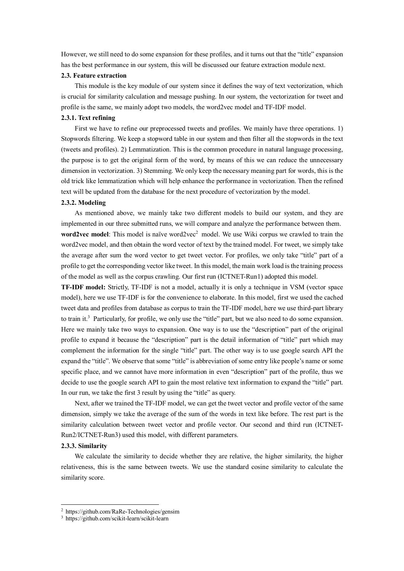However, we still need to do some expansion for these profiles, and it turns out that the "title" expansion has the best performance in our system, this will be discussed our feature extraction module next.

#### **2.3. Feature extraction**

 This module is the key module of our system since it defines the way of text vectorization, which is crucial for similarity calculation and message pushing. In our system, the vectorization for tweet and profile is the same, we mainly adopt two models, the word2vec model and TF-IDF model.

#### **2.3.1. Text refining**

 First we have to refine our preprocessed tweets and profiles. We mainly have three operations. 1) Stopwords filtering. We keep a stopword table in our system and then filter all the stopwords in the text (tweets and profiles). 2) Lemmatization. This is the common procedure in natural language processing, the purpose is to get the original form of the word, by means of this we can reduce the unnecessary dimension in vectorization. 3) Stemming. We only keep the necessary meaning part for words, this is the old trick like lemmatization which will help enhance the performance in vectorization. Then the refined text will be updated from the database for the next procedure of vectorization by the model.

### **2.3.2. Modeling**

 As mentioned above, we mainly take two different models to build our system, and they are implemented in our three submitted runs, we will compare and analyze the performance between them. **word2vec model**: This model is naïve word2vec<sup>2</sup> model. We use Wiki corpus we crawled to train the word2vec model, and then obtain the word vector of text by the trained model. For tweet, we simply take the average after sum the word vector to get tweet vector. For profiles, we only take "title" part of a profile to get the corresponding vector like tweet. In this model, the main work load is the training process of the model as well as the corpus crawling. Our first run (ICTNET-Run1) adopted this model.

**TF-IDF model:** Strictly, TF-IDF is not a model, actually it is only a technique in VSM (vector space model), here we use TF-IDF is for the convenience to elaborate. In this model, first we used the cached tweet data and profiles from database as corpus to train the TF-IDF model, here we use third-part library to train it.<sup>3</sup> Particularly, for profile, we only use the "title" part, but we also need to do some expansion. Here we mainly take two ways to expansion. One way is to use the "description" part of the original profile to expand it because the "description" part is the detail information of "title" part which may complement the information for the single "title" part. The other way is to use google search API the expand the "title". We observe that some "title" is abbreviation of some entry like people's name or some specific place, and we cannot have more information in even "description" part of the profile, thus we decide to use the google search API to gain the most relative text information to expand the "title" part. In our run, we take the first 3 result by using the "title" as query.

 Next, after we trained the TF-IDF model, we can get the tweet vector and profile vector of the same dimension, simply we take the average of the sum of the words in text like before. The rest part is the similarity calculation between tweet vector and profile vector. Our second and third run (ICTNET-Run2/ICTNET-Run3) used this model, with different parameters.

### **2.3.3. Similarity**

 $\overline{a}$ 

 We calculate the similarity to decide whether they are relative, the higher similarity, the higher relativeness, this is the same between tweets. We use the standard cosine similarity to calculate the similarity score.

<sup>2</sup> https://github.com/RaRe-Technologies/gensim

<sup>3</sup> https://github.com/scikit-learn/scikit-learn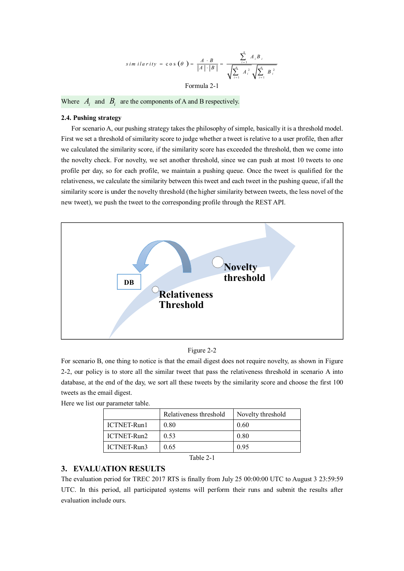$$
sim \: i \: l \: a \: r \: i \: t \: y \: = \: \cos \left(\theta\right) = \frac{A \cdot B}{|A| \cdot |B|} = \frac{\sum_{i=1}^{n} A_i B_i}{\sqrt{\sum_{i=1}^{n} A_i^2} \sqrt{\sum_{i=1}^{n} B_i^2}}
$$

Formula 2-1

Where  $A_i$  and  $B_i$  are the components of A and B respectively.

### **2.4. Pushing strategy**

 For scenario A, our pushing strategy takes the philosophy of simple, basically it is a threshold model. First we set a threshold of similarity score to judge whether a tweet is relative to a user profile, then after we calculated the similarity score, if the similarity score has exceeded the threshold, then we come into the novelty check. For novelty, we set another threshold, since we can push at most 10 tweets to one profile per day, so for each profile, we maintain a pushing queue. Once the tweet is qualified for the relativeness, we calculate the similarity between this tweet and each tweet in the pushing queue, if all the similarity score is under the novelty threshold (the higher similarity between tweets, the less novel of the new tweet), we push the tweet to the corresponding profile through the REST API.



Figure 2-2

For scenario B, one thing to notice is that the email digest does not require novelty, as shown in Figure 2-2, our policy is to store all the similar tweet that pass the relativeness threshold in scenario A into database, at the end of the day, we sort all these tweets by the similarity score and choose the first 100 tweets as the email digest.

|                    | Relativeness threshold | Novelty threshold |
|--------------------|------------------------|-------------------|
| <b>ICTNET-Run1</b> | 0.80                   | 0.60              |
| ICTNET-Run2        | 0.53                   | 0.80              |
| ICTNET-Run3        | 0.65                   | 0.95              |

Here we list our parameter table.

### Table 2-1

# **3. EVALUATION RESULTS**

The evaluation period for TREC 2017 RTS is finally from July 25 00:00:00 UTC to August 3 23:59:59 UTC. In this period, all participated systems will perform their runs and submit the results after evaluation include ours.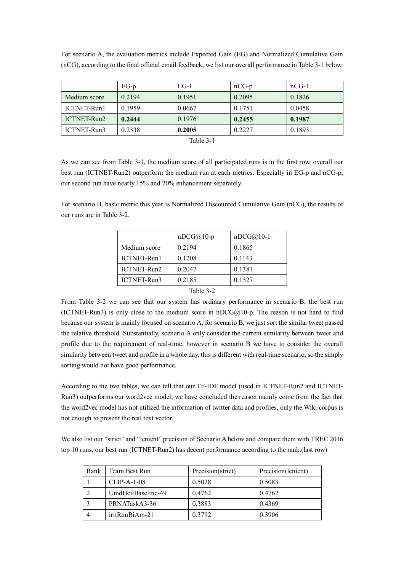| For scenario A, the evaluation metrics include Expected Gain (EG) and Normalized Cumulative Gain           |  |  |  |  |  |  |  |  |
|------------------------------------------------------------------------------------------------------------|--|--|--|--|--|--|--|--|
| (nCG), according to the final official email feedback, we list our overall performance in Table 3-1 below. |  |  |  |  |  |  |  |  |

|              | $EG-p$ | $EG-1$ | $nCG-p$ | $nCG-1$ |  |  |
|--------------|--------|--------|---------|---------|--|--|
| Medium score | 0.2194 | 0.1951 | 0.2095  | 0.1826  |  |  |
| ICTNET-Run1  | 0.1959 | 0.0667 | 0.1751  | 0.0458  |  |  |
| ICTNET-Run2  | 0.2444 | 0.1976 | 0.2455  | 0.1987  |  |  |
| ICTNET-Run3  | 0.2338 | 0.2005 | 0.2227  | 0.1893  |  |  |
|              |        |        |         |         |  |  |

Table 3-1

As we can see from Table 3-1, the medium score of all participated runs is in the first row, overall our best run (ICTNET-Run2) outperform the medium run at each metrics. Especially in EG-p and nCG-p, our second run have nearly 15% and 20% enhancement separately.

For scenario B, basic metric this year is Normalized Discounted Cumulative Gain (nCG), the results of our runs are in Table 3-2.

|                    | $nDCG(a)10-p$ | $nDCG@10-1$ |  |  |  |
|--------------------|---------------|-------------|--|--|--|
| Medium score       | 0.2194        | 0.1865      |  |  |  |
| ICTNET-Run1        | 0.1208        | 0.1143      |  |  |  |
| <b>ICTNET-Run2</b> | 0.2047        | 0.1381      |  |  |  |
| ICTNET-Run3        | 0.2185        | 0.1527      |  |  |  |
| T11.22             |               |             |  |  |  |

### Table 3-2

From Table 3-2 we can see that our system has ordinary performance in scenario B, the best run (ICTNET-Run3) is only close to the medium score in  $nDCG@10-p$ . The reason is not hard to find because our system is mainly focused on scenario A, for scenario B, we just sort the similar tweet passed the relative threshold. Substantially, scenario A only consider the current similarity between tweet and profile due to the requirement of real-time, however in scenario B we have to consider the overall similarity between tweet and profile in a whole day, this is different with real-time scenario, so the simply sorting would not have good performance.

According to the two tables, we can tell that our TF-IDF model (used in ICTNET-Run2 and ICTNET-Run3) outperforms our word2vec model, we have concluded the reason mainly come from the fact that the word2vec model has not utilized the information of twitter data and profiles, only the Wiki corpus is not enough to present the real text vector.

We also list our "strict" and "lenient" precision of Scenario A below and compare them with TREC 2016 top 10 runs, our best run (ICTNET-Run2) has decent performance according to the rank.(last row)

| Rank | Team Best Run      | Precision(strict) | Precision(lenient) |
|------|--------------------|-------------------|--------------------|
|      | $CLIP-A-1-08$      | 0.5028            | 0.5083             |
|      | UmdHcilBaseline-49 | 0.4762            | 0.4762             |
|      | PRNATaskA3-36      | 0.3883            | 0.4369             |
|      | iritRunBiAm-21     | 0.3792            | 0.3906             |